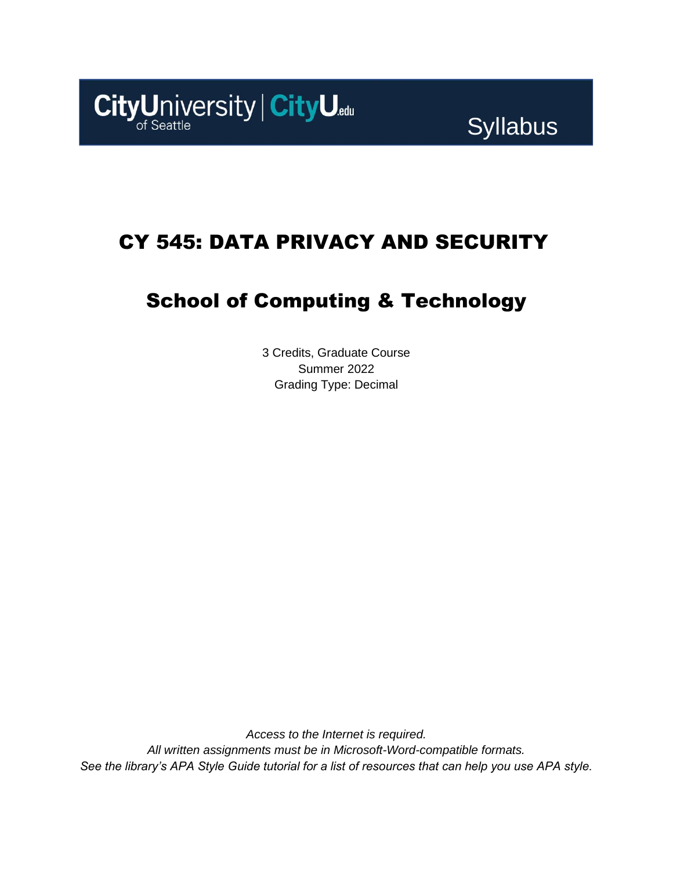

# CY 545: DATA PRIVACY AND SECURITY

# School of Computing & Technology

3 Credits, Graduate Course Summer 2022 Grading Type: Decimal

*Access to the Internet is required. All written assignments must be in Microsoft-Word-compatible formats. See the library's APA Style Guide tutorial for a list of resources that can help you use APA style.*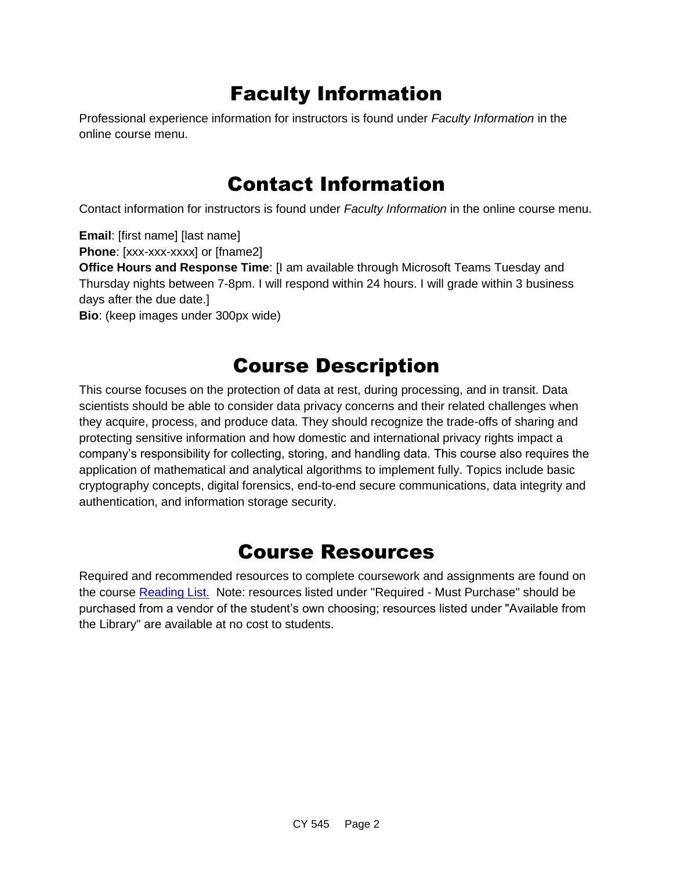# Faculty Information

Professional experience information for instructors is found under *Faculty Information* in the online course menu.

### Contact Information

Contact information for instructors is found under *Faculty Information* in the online course menu.

**Email**: [first name] [last name]

**Phone**: [xxx-xxx-xxxx] or [fname2]

**Office Hours and Response Time**: [I am available through Microsoft Teams Tuesday and Thursday nights between 7-8pm. I will respond within 24 hours. I will grade within 3 business days after the due date.]

**Bio**: (keep images under 300px wide)

## Course Description

This course focuses on the protection of data at rest, during processing, and in transit. Data scientists should be able to consider data privacy concerns and their related challenges when they acquire, process, and produce data. They should recognize the trade-offs of sharing and protecting sensitive information and how domestic and international privacy rights impact a company's responsibility for collecting, storing, and handling data. This course also requires the application of mathematical and analytical algorithms to implement fully. Topics include basic cryptography concepts, digital forensics, end-to-end secure communications, data integrity and authentication, and information storage security.

### Course Resources

Required and recommended resources to complete coursework and assignments are found on the course [Reading List.](https://cityu.alma.exlibrisgroup.com/leganto/login?auth=SAML) Note: resources listed under "Required - Must Purchase" should be purchased from a vendor of the student's own choosing; resources listed under "Available from the Library" are available at no cost to students.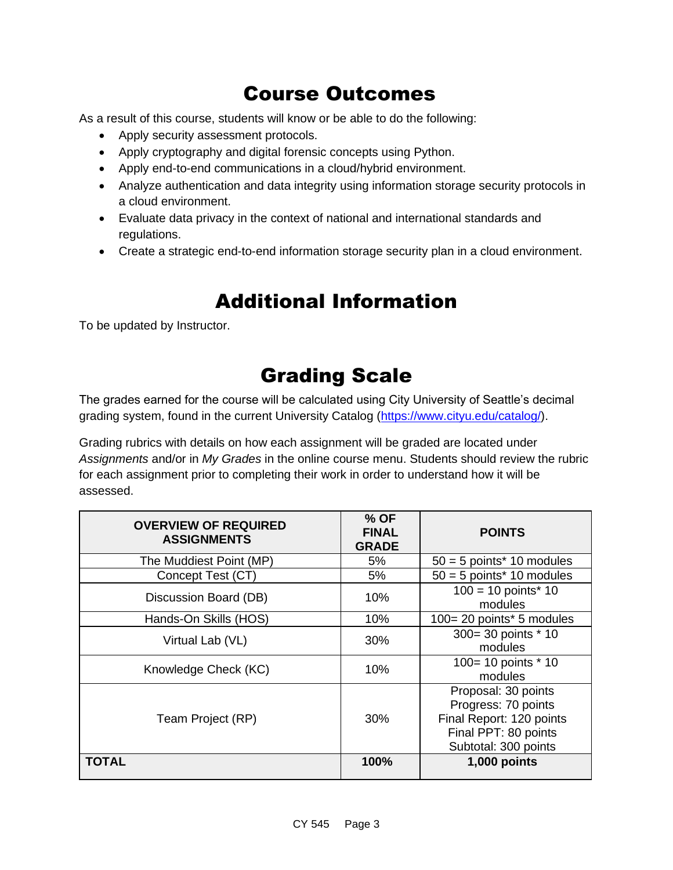# Course Outcomes

As a result of this course, students will know or be able to do the following:

- Apply security assessment protocols.
- Apply cryptography and digital forensic concepts using Python.
- Apply end-to-end communications in a cloud/hybrid environment.
- Analyze authentication and data integrity using information storage security protocols in a cloud environment.
- Evaluate data privacy in the context of national and international standards and regulations.
- Create a strategic end-to-end information storage security plan in a cloud environment.

# Additional Information

To be updated by Instructor.

# Grading Scale

The grades earned for the course will be calculated using City University of Seattle's decimal grading system, found in the current University Catalog [\(https://www.cityu.edu/catalog/\)](https://www.cityu.edu/catalog/).

Grading rubrics with details on how each assignment will be graded are located under *Assignments* and/or in *My Grades* in the online course menu. Students should review the rubric for each assignment prior to completing their work in order to understand how it will be assessed.

| <b>OVERVIEW OF REQUIRED</b><br><b>ASSIGNMENTS</b> | $%$ OF<br><b>FINAL</b><br><b>GRADE</b> | <b>POINTS</b>                                                                                                          |
|---------------------------------------------------|----------------------------------------|------------------------------------------------------------------------------------------------------------------------|
| The Muddiest Point (MP)                           | 5%                                     | $50 = 5$ points* 10 modules                                                                                            |
| Concept Test (CT)                                 | 5%                                     | $50 = 5$ points* 10 modules                                                                                            |
| Discussion Board (DB)                             | 10%                                    | $100 = 10$ points* 10<br>modules                                                                                       |
| Hands-On Skills (HOS)                             | 10%                                    | 100= 20 points* 5 modules                                                                                              |
| Virtual Lab (VL)                                  | 30%                                    | 300= 30 points * 10<br>modules                                                                                         |
| Knowledge Check (KC)                              | 10%                                    | 100= 10 points * 10<br>modules                                                                                         |
| Team Project (RP)                                 | 30%                                    | Proposal: 30 points<br>Progress: 70 points<br>Final Report: 120 points<br>Final PPT: 80 points<br>Subtotal: 300 points |
| <b>TOTAL</b>                                      | 100%                                   | 1,000 points                                                                                                           |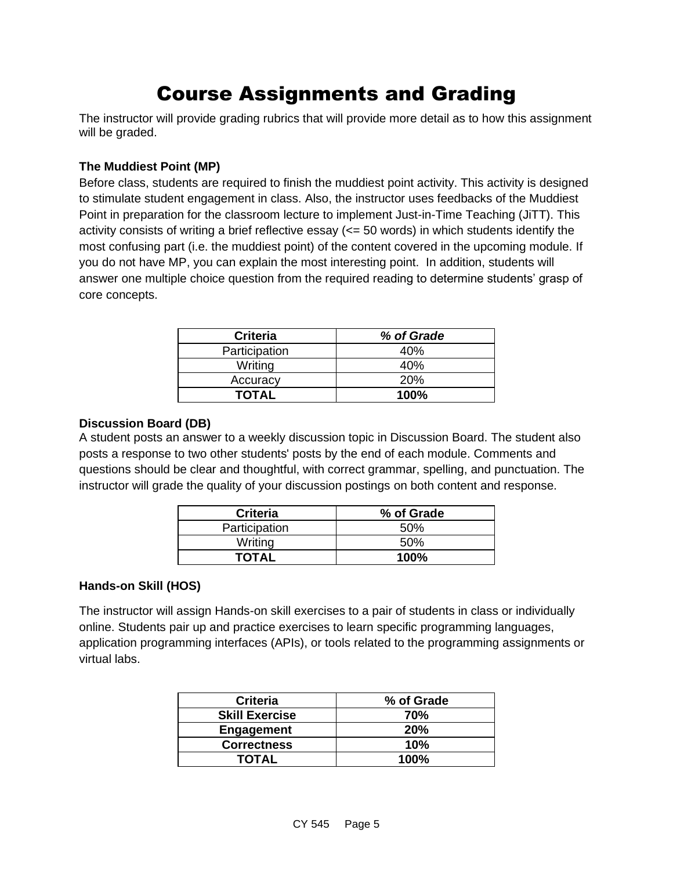# Course Assignments and Grading

The instructor will provide grading rubrics that will provide more detail as to how this assignment will be graded.

#### **The Muddiest Point (MP)**

Before class, students are required to finish the muddiest point activity. This activity is designed to stimulate student engagement in class. Also, the instructor uses feedbacks of the Muddiest Point in preparation for the classroom lecture to implement Just-in-Time Teaching (JiTT). This activity consists of writing a brief reflective essay  $\ll$  = 50 words) in which students identify the most confusing part (i.e. the muddiest point) of the content covered in the upcoming module. If you do not have MP, you can explain the most interesting point. In addition, students will answer one multiple choice question from the required reading to determine students' grasp of core concepts.

| <b>Criteria</b> | % of Grade |
|-----------------|------------|
| Participation   | 40%        |
| Writing         | 40%        |
| Accuracy        | 20%        |
| <b>TOTAL</b>    | 100%       |

#### **Discussion Board (DB)**

A student posts an answer to a weekly discussion topic in Discussion Board. The student also posts a response to two other students' posts by the end of each module. Comments and questions should be clear and thoughtful, with correct grammar, spelling, and punctuation. The instructor will grade the quality of your discussion postings on both content and response.

| <b>Criteria</b> | % of Grade  |
|-----------------|-------------|
| Participation   | 50%         |
| Writing         | 50%         |
| <b>TOTAL</b>    | <b>100%</b> |

#### **Hands-on Skill (HOS)**

The instructor will assign Hands-on skill exercises to a pair of students in class or individually online. Students pair up and practice exercises to learn specific programming languages, application programming interfaces (APIs), or tools related to the programming assignments or virtual labs.

| <b>Criteria</b>       | % of Grade |
|-----------------------|------------|
| <b>Skill Exercise</b> | 70%        |
| <b>Engagement</b>     | 20%        |
| <b>Correctness</b>    | 10%        |
| <b>TOTAL</b>          | $100\%$    |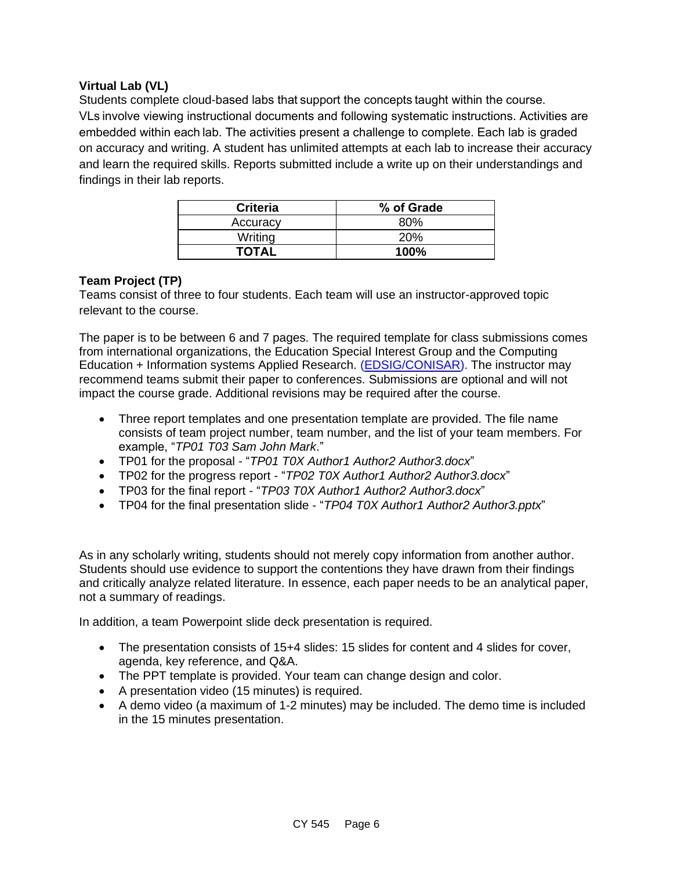### **Virtual Lab (VL)**

Students complete cloud-based labs that support the concepts taught within the course. VLs involve viewing instructional documents and following systematic instructions. Activities are embedded within each lab. The activities present a challenge to complete. Each lab is graded on accuracy and writing. A student has unlimited attempts at each lab to increase their accuracy and learn the required skills. Reports submitted include a write up on their understandings and findings in their lab reports.

| <b>Criteria</b> | % of Grade |
|-----------------|------------|
| Accuracy        | ጸበ%        |
| Writing         | <b>20%</b> |
| <b>TOTAL</b>    | 100%       |

#### **Team Project (TP)**

Teams consist of three to four students. Each team will use an instructor-approved topic relevant to the course.

The paper is to be between 6 and 7 pages. The required template for class submissions comes from international organizations, the Education Special Interest Group and the Computing Education + Information systems Applied Research. [\(EDSIG/CONISAR\)](https://edsig.org/). The instructor may recommend teams submit their paper to conferences. Submissions are optional and will not impact the course grade. Additional revisions may be required after the course.

- Three report templates and one presentation template are provided. The file name consists of team project number, team number, and the list of your team members. For example, "*TP01 T03 Sam John Mark*."
- TP01 for the proposal "*TP01 T0X Author1 Author2 Author3.docx*"
- TP02 for the progress report "*TP02 T0X Author1 Author2 Author3.docx*"
- TP03 for the final report "*TP03 T0X Author1 Author2 Author3.docx*"
- TP04 for the final presentation slide "*TP04 T0X Author1 Author2 Author3.pptx*"

As in any scholarly writing, students should not merely copy information from another author. Students should use evidence to support the contentions they have drawn from their findings and critically analyze related literature. In essence, each paper needs to be an analytical paper, not a summary of readings.

In addition, a team Powerpoint slide deck presentation is required.

- The presentation consists of 15+4 slides: 15 slides for content and 4 slides for cover, agenda, key reference, and Q&A.
- The PPT template is provided. Your team can change design and color.
- A presentation video (15 minutes) is required.
- A demo video (a maximum of 1-2 minutes) may be included. The demo time is included in the 15 minutes presentation.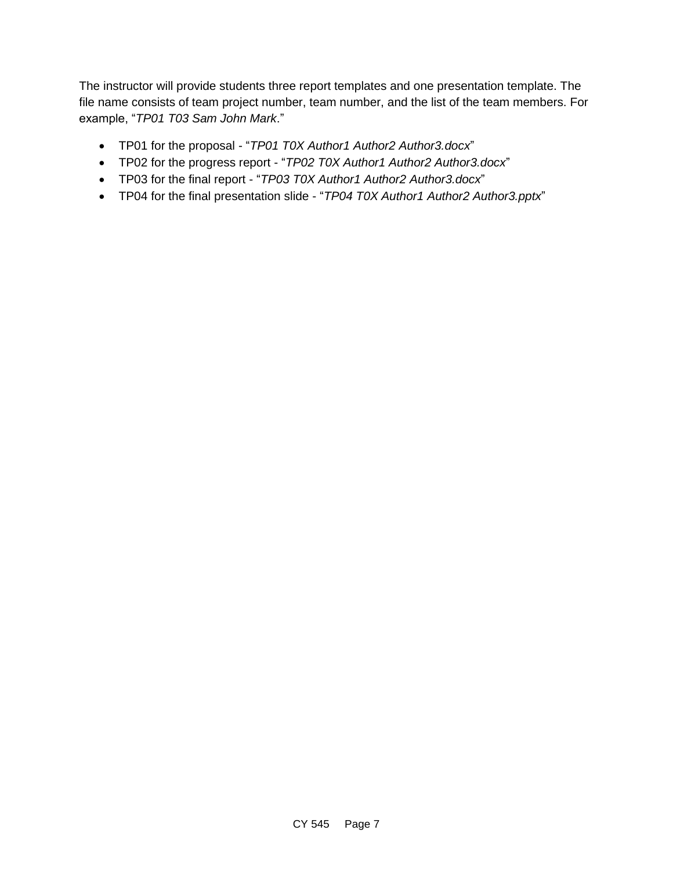The instructor will provide students three report templates and one presentation template. The file name consists of team project number, team number, and the list of the team members. For example, "*TP01 T03 Sam John Mark*."

- TP01 for the proposal "*TP01 T0X Author1 Author2 Author3.docx*"
- TP02 for the progress report "*TP02 T0X Author1 Author2 Author3.docx*"
- TP03 for the final report "*TP03 T0X Author1 Author2 Author3.docx*"
- TP04 for the final presentation slide "*TP04 T0X Author1 Author2 Author3.pptx*"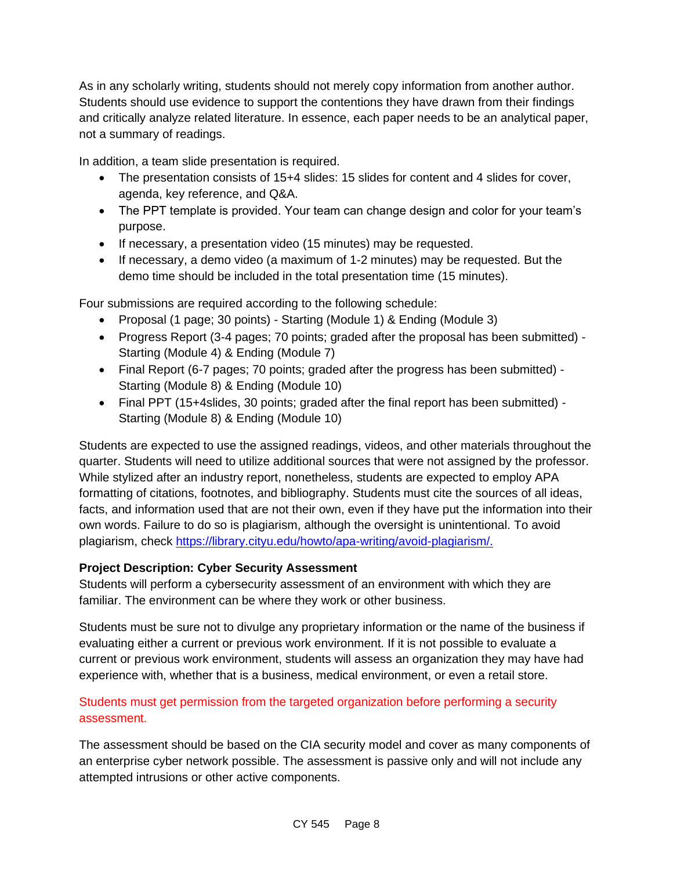As in any scholarly writing, students should not merely copy information from another author. Students should use evidence to support the contentions they have drawn from their findings and critically analyze related literature. In essence, each paper needs to be an analytical paper, not a summary of readings.

In addition, a team slide presentation is required.

- The presentation consists of 15+4 slides: 15 slides for content and 4 slides for cover, agenda, key reference, and Q&A.
- The PPT template is provided. Your team can change design and color for your team's purpose.
- If necessary, a presentation video (15 minutes) may be requested.
- If necessary, a demo video (a maximum of 1-2 minutes) may be requested. But the demo time should be included in the total presentation time (15 minutes).

Four submissions are required according to the following schedule:

- Proposal (1 page; 30 points) Starting (Module 1) & Ending (Module 3)
- Progress Report (3-4 pages; 70 points; graded after the proposal has been submitted) Starting (Module 4) & Ending (Module 7)
- Final Report (6-7 pages; 70 points; graded after the progress has been submitted) Starting (Module 8) & Ending (Module 10)
- Final PPT (15+4slides, 30 points; graded after the final report has been submitted) Starting (Module 8) & Ending (Module 10)

Students are expected to use the assigned readings, videos, and other materials throughout the quarter. Students will need to utilize additional sources that were not assigned by the professor. While stylized after an industry report, nonetheless, students are expected to employ APA formatting of citations, footnotes, and bibliography. Students must cite the sources of all ideas, facts, and information used that are not their own, even if they have put the information into their own words. Failure to do so is plagiarism, although the oversight is unintentional. To avoid plagiarism, check [https://library.cityu.edu/howto/apa-writing/avoid-plagiarism/.](https://library.cityu.edu/howto/apa-writing/avoid-plagiarism/)

### **Project Description: Cyber Security Assessment**

Students will perform a cybersecurity assessment of an environment with which they are familiar. The environment can be where they work or other business.

Students must be sure not to divulge any proprietary information or the name of the business if evaluating either a current or previous work environment. If it is not possible to evaluate a current or previous work environment, students will assess an organization they may have had experience with, whether that is a business, medical environment, or even a retail store.

### Students must get permission from the targeted organization before performing a security assessment.

The assessment should be based on the CIA security model and cover as many components of an enterprise cyber network possible. The assessment is passive only and will not include any attempted intrusions or other active components.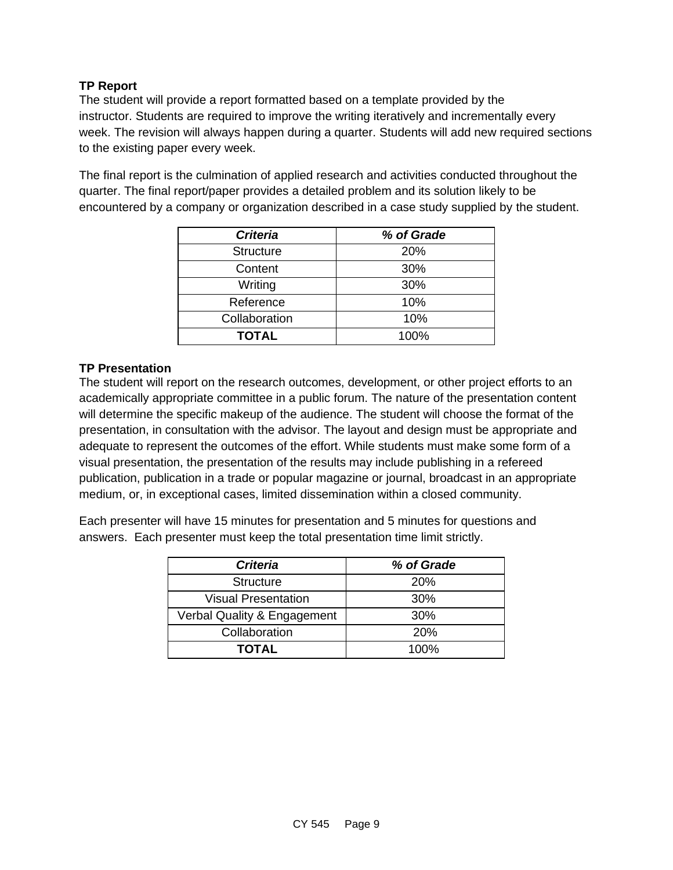### **TP Report**

The student will provide a report formatted based on a template provided by the instructor. Students are required to improve the writing iteratively and incrementally every week. The revision will always happen during a quarter. Students will add new required sections to the existing paper every week.

The final report is the culmination of applied research and activities conducted throughout the quarter. The final report/paper provides a detailed problem and its solution likely to be encountered by a company or organization described in a case study supplied by the student.

| <b>Criteria</b>  | % of Grade |
|------------------|------------|
| <b>Structure</b> | <b>20%</b> |
| Content          | 30%        |
| Writing          | 30%        |
| Reference        | 10%        |
| Collaboration    | 10%        |
| <b>TOTAL</b>     | 100%       |

#### **TP Presentation**

The student will report on the research outcomes, development, or other project efforts to an academically appropriate committee in a public forum. The nature of the presentation content will determine the specific makeup of the audience. The student will choose the format of the presentation, in consultation with the advisor. The layout and design must be appropriate and adequate to represent the outcomes of the effort. While students must make some form of a visual presentation, the presentation of the results may include publishing in a refereed publication, publication in a trade or popular magazine or journal, broadcast in an appropriate medium, or, in exceptional cases, limited dissemination within a closed community.

Each presenter will have 15 minutes for presentation and 5 minutes for questions and answers. Each presenter must keep the total presentation time limit strictly.

| <b>Criteria</b>             | % of Grade |
|-----------------------------|------------|
| <b>Structure</b>            | 20%        |
| <b>Visual Presentation</b>  | 30%        |
| Verbal Quality & Engagement | 30%        |
| Collaboration               | 20%        |
| TOTAL                       | $100\%$    |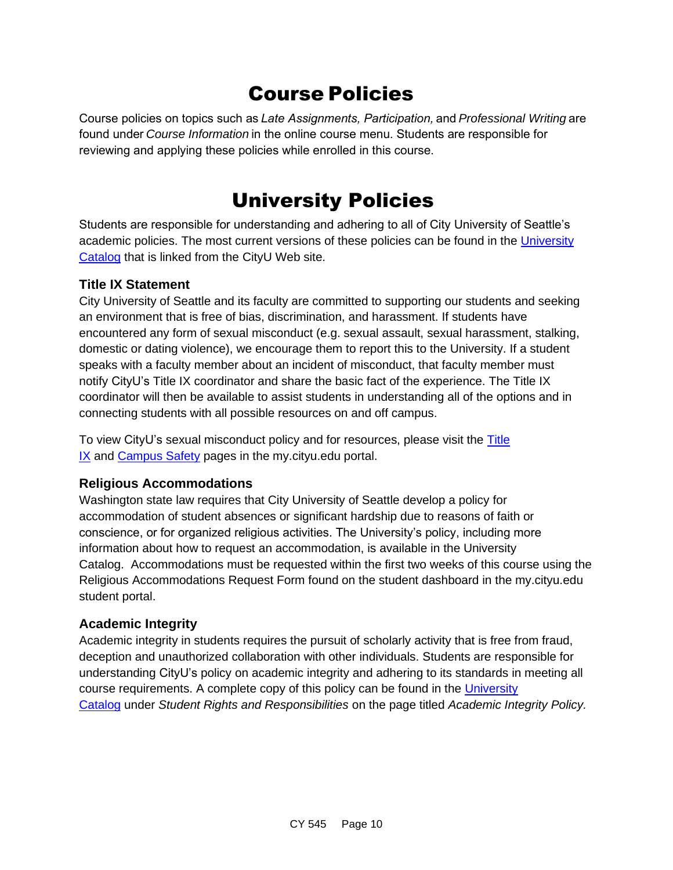# Course Policies

Course policies on topics such as *Late Assignments, Participation,*and *Professional Writing* are found under *Course Information* in the online course menu. Students are responsible for reviewing and applying these policies while enrolled in this course. 

## University Policies

Students are responsible for understanding and adhering to all of City University of Seattle's academic policies. The most current versions of these policies can be found in the [University](http://www.cityu.edu/catalog/)  [Catalog](http://www.cityu.edu/catalog/) that is linked from the CityU Web site.

### **Title IX Statement**

City University of Seattle and its faculty are committed to supporting our students and seeking an environment that is free of bias, discrimination, and harassment. If students have encountered any form of sexual misconduct (e.g. sexual assault, sexual harassment, stalking, domestic or dating violence), we encourage them to report this to the University. If a student speaks with a faculty member about an incident of misconduct, that faculty member must notify CityU's Title IX coordinator and share the basic fact of the experience. The Title IX coordinator will then be available to assist students in understanding all of the options and in connecting students with all possible resources on and off campus.

To view CityU's sexual misconduct policy and for resources, please visit the Title [IX](https://my.cityu.edu/titleix/) and [Campus Safety](https://my.cityu.edu/department/campus-safety/) pages in the my.cityu.edu portal.

### **Religious Accommodations**

Washington state law requires that City University of Seattle develop a policy for accommodation of student absences or significant hardship due to reasons of faith or conscience, or for organized religious activities. The University's policy, including more information about how to request an accommodation, is available in the University Catalog. Accommodations must be requested within the first two weeks of this course using the Religious Accommodations Request Form found on the student dashboard in the my.cityu.edu student portal.

### **Academic Integrity**

Academic integrity in students requires the pursuit of scholarly activity that is free from fraud, deception and unauthorized collaboration with other individuals. Students are responsible for understanding CityU's policy on academic integrity and adhering to its standards in meeting all course requirements. A complete copy of this policy can be found in the University [Catalog](http://www.cityu.edu/catalog/) under *Student Rights and Responsibilities* on the page titled *Academic Integrity Policy.*